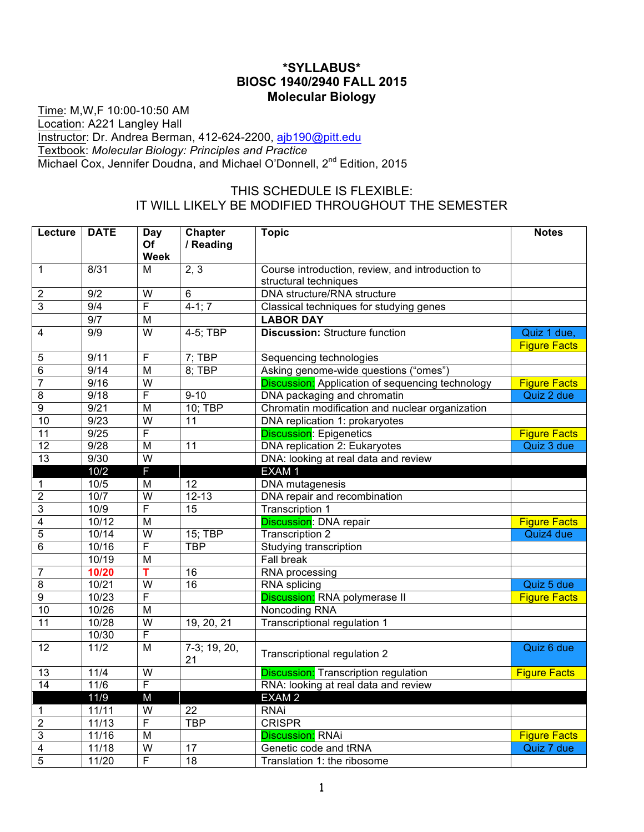## **\*SYLLABUS\* BIOSC 1940/2940 FALL 2015 Molecular Biology**

Time: M,W,F 10:00-10:50 AM Location: A221 Langley Hall Instructor: Dr. Andrea Berman, 412-624-2200, ajb190@pitt.edu Textbook: *Molecular Biology: Principles and Practice* Michael Cox, Jennifer Doudna, and Michael O'Donnell, 2<sup>nd</sup> Edition, 2015

## THIS SCHEDULE IS FLEXIBLE: IT WILL LIKELY BE MODIFIED THROUGHOUT THE SEMESTER

| Lecture                 | <b>DATE</b>    | Day                     | <b>Chapter</b>  | <b>Topic</b>                                            | <b>Notes</b>        |
|-------------------------|----------------|-------------------------|-----------------|---------------------------------------------------------|---------------------|
|                         |                | Of                      | / Reading       |                                                         |                     |
|                         |                | Week                    |                 |                                                         |                     |
| 1                       | 8/31           | М                       | 2, 3            | Course introduction, review, and introduction to        |                     |
|                         | 9/2            |                         |                 | structural techniques                                   |                     |
| $\overline{\mathbf{c}}$ |                | W<br>F                  | 6               | DNA structure/RNA structure                             |                     |
| 3                       | 9/4            |                         | $4-1; 7$        | Classical techniques for studying genes                 |                     |
|                         | 9/7            | M                       |                 | <b>LABOR DAY</b>                                        |                     |
| 4                       | 9/9            | $\overline{\mathsf{w}}$ | 4-5; TBP        | <b>Discussion: Structure function</b>                   | Quiz 1 due,         |
|                         |                |                         |                 |                                                         | <b>Figure Facts</b> |
| 5                       | 9/11           | F                       | $7;$ TBP        | Sequencing technologies                                 |                     |
| 6                       | 9/14           | $\overline{M}$          | $8:$ TBP        | Asking genome-wide questions ("omes")                   |                     |
| 7                       | 9/16           | $\overline{\mathsf{w}}$ |                 | <b>Discussion:</b> Application of sequencing technology | <b>Figure Facts</b> |
| 8                       | 9/18           | F                       | $9 - 10$        | DNA packaging and chromatin                             | Quiz 2 due          |
| 9                       | 9/21           | M                       | 10; TBP         | Chromatin modification and nuclear organization         |                     |
| $\overline{10}$         | 9/23           | $\overline{W}$          | 11              | DNA replication 1: prokaryotes                          |                     |
| 11                      | 9/25           | F                       |                 | <b>Discussion: Epigenetics</b>                          | <b>Figure Facts</b> |
| $\overline{12}$         | 9/28           | M                       | 11              | DNA replication 2: Eukaryotes                           | Quiz 3 due          |
| 13                      | 9/30           | $\overline{\mathsf{W}}$ |                 | DNA: looking at real data and review                    |                     |
|                         | 10/2           | F                       |                 | EXAM <sub>1</sub>                                       |                     |
| 1                       | $\frac{10}{5}$ | M                       | $\overline{12}$ | <b>DNA</b> mutagenesis                                  |                     |
| $\overline{\mathbf{c}}$ | 10/7           | $\overline{\mathsf{W}}$ | $12 - 13$       | DNA repair and recombination                            |                     |
| 3                       | 10/9           | F                       | 15              | <b>Transcription 1</b>                                  |                     |
| 4                       | 10/12          | $\overline{M}$          |                 | <b>Discussion: DNA repair</b>                           | <b>Figure Facts</b> |
| 5                       | 10/14          | $\overline{\mathsf{W}}$ | 15; TBP         | <b>Transcription 2</b>                                  | Quiz4 due           |
| 6                       | 10/16          | F                       | <b>TBP</b>      | Studying transcription                                  |                     |
|                         | 10/19          | $\overline{M}$          |                 | <b>Fall break</b>                                       |                     |
| $\overline{7}$          | 10/20          | Ŧ                       | 16              | <b>RNA</b> processing                                   |                     |
| 8                       | 10/21          | $\overline{W}$          | $\overline{16}$ | RNA splicing                                            | Quiz 5 due          |
| 9                       | 10/23          | F                       |                 | Discussion: RNA polymerase II                           | <b>Figure Facts</b> |
| $\overline{10}$         | 10/26          | $\overline{M}$          |                 | Noncoding RNA                                           |                     |
| 11                      | 10/28          | $\overline{\mathsf{w}}$ | 19, 20, 21      | Transcriptional regulation 1                            |                     |
|                         | 10/30          | F                       |                 |                                                         |                     |
| 12                      | $\frac{11}{2}$ | M                       | 7-3; 19, 20,    |                                                         | Quiz 6 due          |
|                         |                |                         | 21              | Transcriptional regulation 2                            |                     |
| $\overline{13}$         | 11/4           | $\overline{W}$          |                 | <b>Discussion:</b> Transcription regulation             | <b>Figure Facts</b> |
| 14                      | 11/6           | F                       |                 | RNA: looking at real data and review                    |                     |
|                         | 11/9           | M                       |                 | EXAM <sub>2</sub>                                       |                     |
| 1                       | 11/11          | $\overline{W}$          | $\overline{22}$ | <b>RNAi</b>                                             |                     |
| $\overline{2}$          | 11/13          | F                       | <b>TBP</b>      | <b>CRISPR</b>                                           |                     |
| 3                       | 11/16          | M                       |                 | <b>Discussion: RNAi</b>                                 | <b>Figure Facts</b> |
| 4                       | 11/18          | $\overline{W}$          | $\overline{17}$ | Genetic code and tRNA                                   | Quiz 7 due          |
| $\overline{5}$          | 11/20          | F                       | 18              | Translation 1: the ribosome                             |                     |